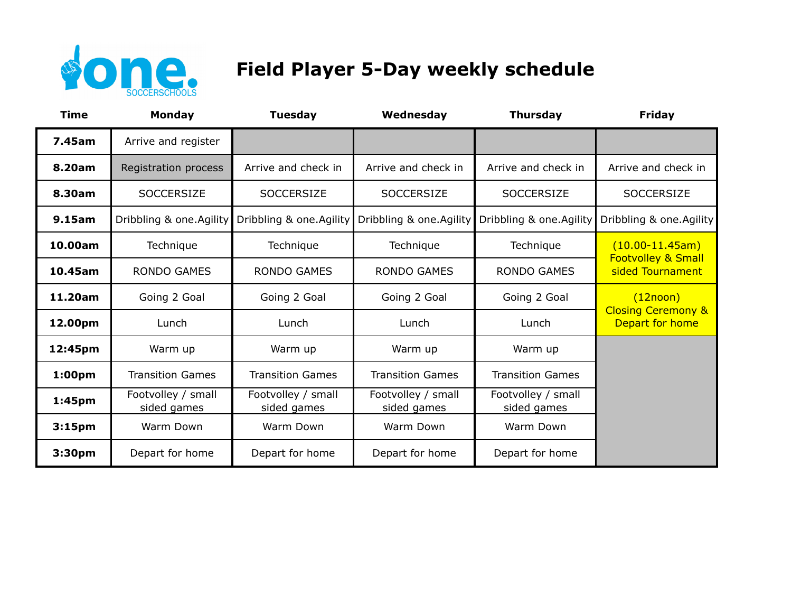

## **Field Player 5-Day weekly schedule**

| <b>Time</b>        | <b>Monday</b>                     | <b>Tuesday</b>                    | Wednesday                         | <b>Thursday</b>                   | <b>Friday</b>                                        |
|--------------------|-----------------------------------|-----------------------------------|-----------------------------------|-----------------------------------|------------------------------------------------------|
| 7.45am             | Arrive and register               |                                   |                                   |                                   |                                                      |
| 8.20am             | Registration process              | Arrive and check in               | Arrive and check in               | Arrive and check in               | Arrive and check in                                  |
| 8.30am             | <b>SOCCERSIZE</b>                 | <b>SOCCERSIZE</b>                 | <b>SOCCERSIZE</b>                 | <b>SOCCERSIZE</b>                 | <b>SOCCERSIZE</b>                                    |
| 9.15am             | Dribbling & one.Agility           | Dribbling & one.Agility           | Dribbling & one.Agility           | Dribbling & one. Agility          | Dribbling & one.Agility                              |
| 10.00am            | Technique                         | Technique                         | Technique                         | Technique                         | $(10.00 - 11.45am)$<br><b>Footvolley &amp; Small</b> |
| 10.45am            | <b>RONDO GAMES</b>                | <b>RONDO GAMES</b>                | <b>RONDO GAMES</b>                | <b>RONDO GAMES</b>                | sided Tournament                                     |
| 11.20am            | Going 2 Goal                      | Going 2 Goal                      | Going 2 Goal                      | Going 2 Goal                      | (12noon)<br><b>Closing Ceremony &amp;</b>            |
| 12.00pm            | Lunch                             | Lunch                             | Lunch                             | Lunch                             | Depart for home                                      |
| 12:45pm            | Warm up                           | Warm up                           | Warm up                           | Warm up                           |                                                      |
| 1:00 <sub>pm</sub> | <b>Transition Games</b>           | <b>Transition Games</b>           | <b>Transition Games</b>           | <b>Transition Games</b>           |                                                      |
| 1:45 <sub>pm</sub> | Footvolley / small<br>sided games | Footvolley / small<br>sided games | Footvolley / small<br>sided games | Footvolley / small<br>sided games |                                                      |
| 3:15 <sub>pm</sub> | Warm Down                         | Warm Down                         | Warm Down                         | Warm Down                         |                                                      |
| 3:30pm             | Depart for home                   | Depart for home                   | Depart for home                   | Depart for home                   |                                                      |